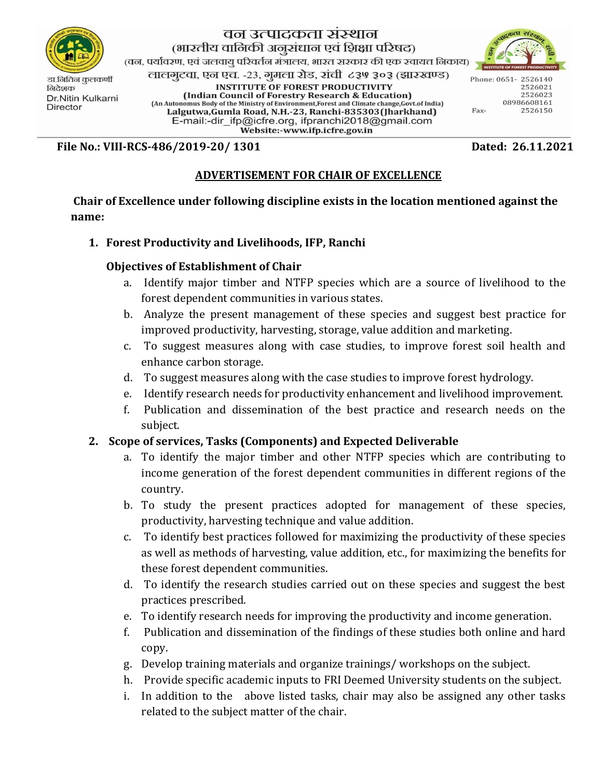

निदेशक Dr.Nitin Kulkarni **Director** 

# वन उत्पादकता संस्थान (भारतीय वानिकी अनूसंधान एवं शिक्षा परिषद)

(वन, पर्यावरण, एवं जलवायू परिवर्तन मंत्रालय, भारत सरकार की एक स्वायत्त निकाय)

लालगुटवा, एन एच. -२३, गुमला रोड, रांची ८३७ ३०३ (झारखण्ड)

**INSTITUTE OF FOREST PRODUCTIVITY** (Indian Council of Forestry Research & Education) (An Autonomus Body of the Ministry of Environment, Forest and Climate change, Govt.of India) Lalgutwa, Gumla Road, N.H.-23, Ranchi-835303 (Jharkhand) E-mail:-dir\_ifp@icfre.org, ifpranchi2018@gmail.com Website:-www.ifp.icfre.gov.in



Phone: 0651-2526140 2526021 2526023 08986608161 Fax-2526150

**File No.: VIII-RCS-486/2019-20/ 1301 Dated: 26.11.2021**

## **ADVERTISEMENT FOR CHAIR OF EXCELLENCE**

**Chair of Excellence under following discipline exists in the location mentioned against the name:**

## **1. Forest Productivity and Livelihoods, IFP, Ranchi**

#### **Objectives of Establishment of Chair**

- a. Identify major timber and NTFP species which are a source of livelihood to the forest dependent communities in various states.
- b. Analyze the present management of these species and suggest best practice for improved productivity, harvesting, storage, value addition and marketing.
- c. To suggest measures along with case studies, to improve forest soil health and enhance carbon storage.
- d. To suggest measures along with the case studies to improve forest hydrology.
- e. Identify research needs for productivity enhancement and livelihood improvement.
- f. Publication and dissemination of the best practice and research needs on the subject.

## **2. Scope of services, Tasks (Components) and Expected Deliverable**

- a. To identify the major timber and other NTFP species which are contributing to income generation of the forest dependent communities in different regions of the country.
- b. To study the present practices adopted for management of these species, productivity, harvesting technique and value addition.
- c. To identify best practices followed for maximizing the productivity of these species as well as methods of harvesting, value addition, etc., for maximizing the benefits for these forest dependent communities.
- d. To identify the research studies carried out on these species and suggest the best practices prescribed.
- e. To identify research needs for improving the productivity and income generation.
- f. Publication and dissemination of the findings of these studies both online and hard copy.
- g. Develop training materials and organize trainings/ workshops on the subject.
- h. Provide specific academic inputs to FRI Deemed University students on the subject.
- i. In addition to the above listed tasks, chair may also be assigned any other tasks related to the subject matter of the chair.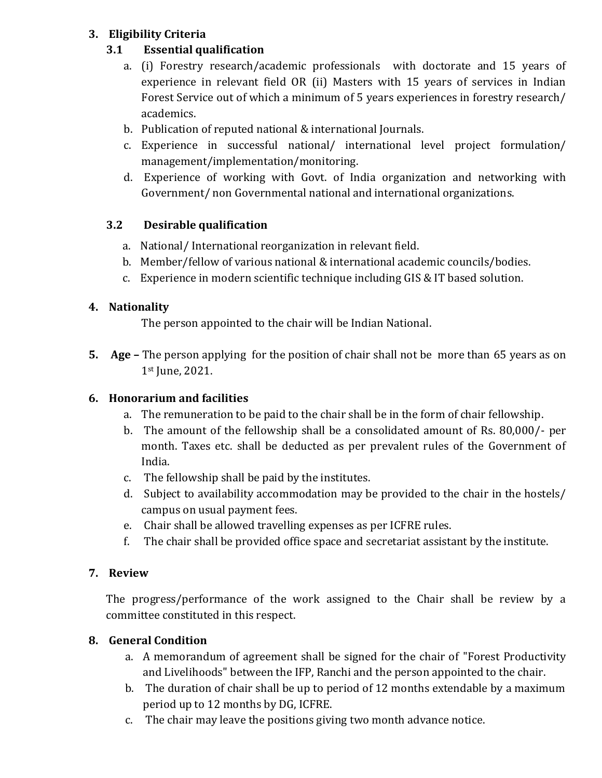# **3. Eligibility Criteria**

## **3.1 Essential qualification**

- a. (i) Forestry research/academic professionals with doctorate and 15 years of experience in relevant field OR (ii) Masters with 15 years of services in Indian Forest Service out of which a minimum of 5 years experiences in forestry research/ academics.
- b. Publication of reputed national & international Journals.
- c. Experience in successful national/ international level project formulation/ management/implementation/monitoring.
- d. Experience of working with Govt. of India organization and networking with Government/ non Governmental national and international organizations.

## **3.2 Desirable qualification**

- a. National/ International reorganization in relevant field.
- b. Member/fellow of various national & international academic councils/bodies.
- c. Experience in modern scientific technique including GIS & IT based solution.

## **4. Nationality**

The person appointed to the chair will be Indian National.

**5. Age –** The person applying for the position of chair shall not be more than 65 years as on 1st June, 2021.

# **6. Honorarium and facilities**

- a. The remuneration to be paid to the chair shall be in the form of chair fellowship.
- b. The amount of the fellowship shall be a consolidated amount of Rs. 80,000/- per month. Taxes etc. shall be deducted as per prevalent rules of the Government of India.
- c. The fellowship shall be paid by the institutes.
- d. Subject to availability accommodation may be provided to the chair in the hostels/ campus on usual payment fees.
- e. Chair shall be allowed travelling expenses as per ICFRE rules.
- f. The chair shall be provided office space and secretariat assistant by the institute.

## **7. Review**

The progress/performance of the work assigned to the Chair shall be review by a committee constituted in this respect.

## **8. General Condition**

- a. A memorandum of agreement shall be signed for the chair of "Forest Productivity and Livelihoods" between the IFP, Ranchi and the person appointed to the chair.
- b. The duration of chair shall be up to period of 12 months extendable by a maximum period up to 12 months by DG, ICFRE.
- c. The chair may leave the positions giving two month advance notice.